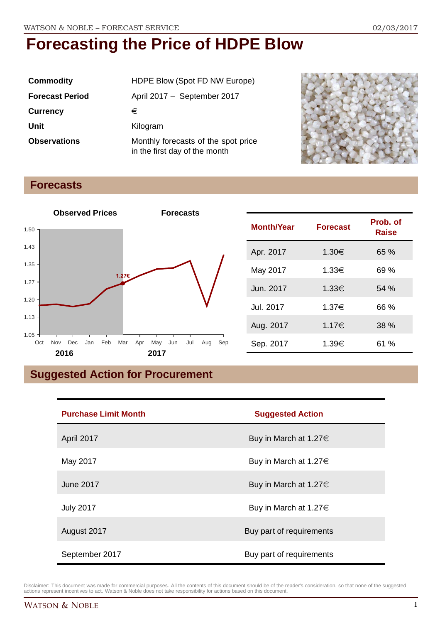| <b>Commodity</b>       | HDPE Blow (Spot FD NW Europe)                                        |  |
|------------------------|----------------------------------------------------------------------|--|
| <b>Forecast Period</b> | April 2017 - September 2017                                          |  |
| <b>Currency</b>        | €                                                                    |  |
| Unit                   | Kilogram                                                             |  |
| <b>Observations</b>    | Monthly forecasts of the spot price<br>in the first day of the month |  |



## **Forecasts**



| <b>Month/Year</b> | <b>Forecast</b> | Prob. of<br>Raise |
|-------------------|-----------------|-------------------|
| Apr. 2017         | 1.30€           | 65 %              |
| May 2017          | 1.33€           | 69 %              |
| Jun. 2017         | 1.33€           | 54%               |
| Jul. 2017         | 1.37€           | 66 %              |
| Aug. 2017         | 1.17€           | 38 %              |
| Sep. 2017         | 1.39€           | 61 %              |

## **Suggested Action for Procurement**

| <b>Purchase Limit Month</b> | <b>Suggested Action</b>    |  |
|-----------------------------|----------------------------|--|
| April 2017                  | Buy in March at 1.27 $\in$ |  |
| May 2017                    | Buy in March at 1.27 $\in$ |  |
| <b>June 2017</b>            | Buy in March at 1.27 $\in$ |  |
| <b>July 2017</b>            | Buy in March at 1.27 $\in$ |  |
| August 2017                 | Buy part of requirements   |  |
| September 2017              | Buy part of requirements   |  |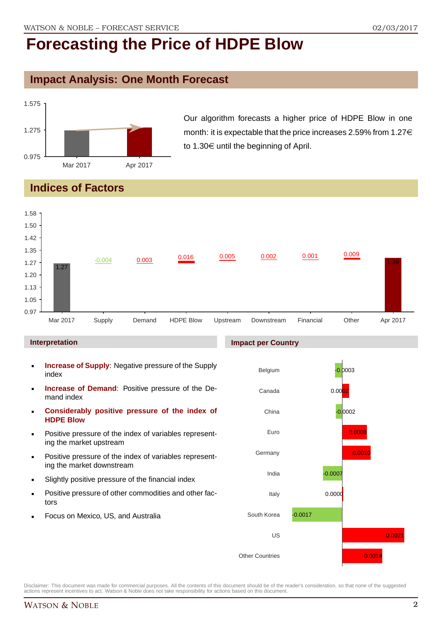## **Impact Analysis: One Month Forecast**



Our algorithm forecasts a higher price of HDPE Blow in one month: it is expectable that the price increases 2.59% from  $1.27 \in$ to 1.30 $\in$  until the beginning of April.

## **Indices of Factors**



#### **Interpretation**

- **Increase of Supply**: Negative pressure of the Supply index
- **Increase of Demand**: Positive pressure of the Demand index
- **Considerably positive pressure of the index of HDPE Blow**
- Positive pressure of the index of variables representing the market upstream
- Positive pressure of the index of variables representing the market downstream
- Slightly positive pressure of the financial index
- Positive pressure of other commodities and other factors
- Focus on Mexico, US, and Australia

#### **Impact per Country**

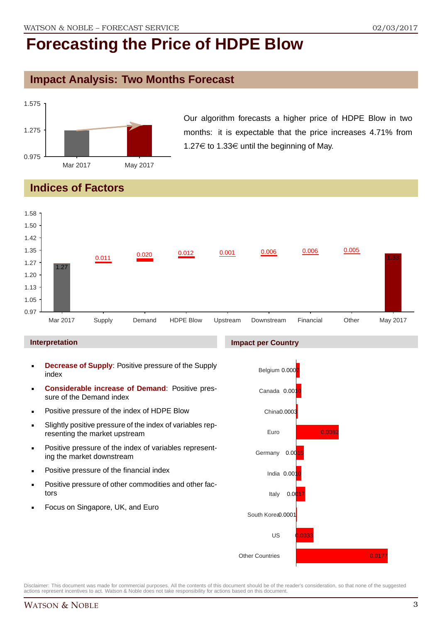### **Impact Analysis: Two Months Forecast**



Our algorithm forecasts a higher price of HDPE Blow in two months: it is expectable that the price increases 4.71% from 1.27€ to 1.33€ until the beginning of May.

## **Indices of Factors**



#### **Interpretation**

- **Decrease of Supply**: Positive pressure of the Supply index
- **Considerable increase of Demand**: Positive pressure of the Demand index
- **Positive pressure of the index of HDPE Blow**
- Slightly positive pressure of the index of variables representing the market upstream
- **Positive pressure of the index of variables represent**ing the market downstream
- **•** Positive pressure of the financial index
- **Positive pressure of other commodities and other fac**tors
- Focus on Singapore, UK, and Euro

#### **Impact per Country**

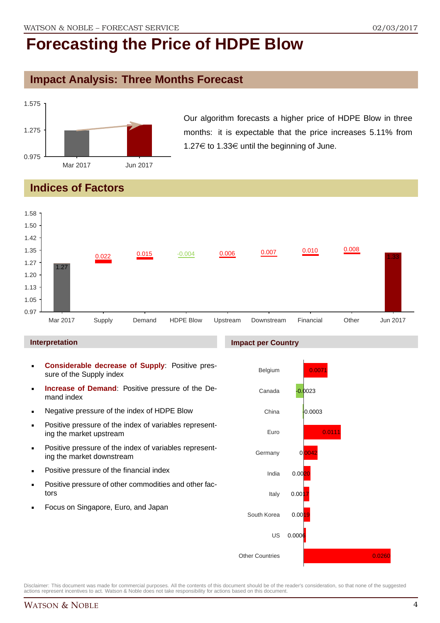## **Impact Analysis: Three Months Forecast**



Our algorithm forecasts a higher price of HDPE Blow in three months: it is expectable that the price increases 5.11% from 1.27€ to 1.33€ until the beginning of June.

## **Indices of Factors**



#### **Interpretation**

- **Considerable decrease of Supply**: Positive pressure of the Supply index
- **Increase of Demand**: Positive pressure of the Demand index
- **Negative pressure of the index of HDPE Blow**
- **Positive pressure of the index of variables represent**ing the market upstream
- **Positive pressure of the index of variables represent**ing the market downstream
- **•** Positive pressure of the financial index
- **Positive pressure of other commodities and other fac**tors
- Focus on Singapore, Euro, and Japan

#### **Impact per Country**

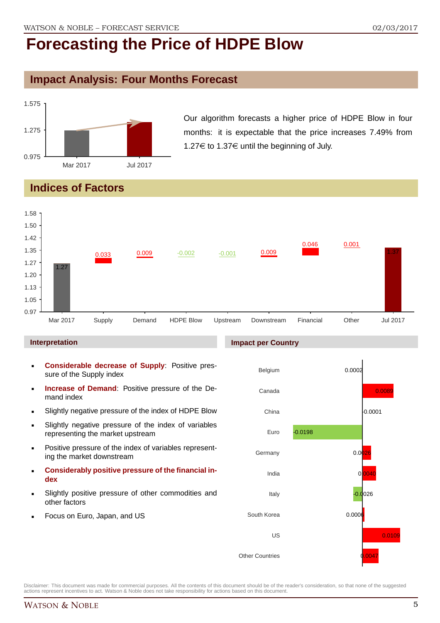## **Impact Analysis: Four Months Forecast**



Our algorithm forecasts a higher price of HDPE Blow in four months: it is expectable that the price increases 7.49% from 1.27 $\in$  to 1.37 $\in$  until the beginning of July.

## **Indices of Factors**



#### **Interpretation**

- **Considerable decrease of Supply**: Positive pressure of the Supply index
- **Increase of Demand:** Positive pressure of the Demand index
- Slightly negative pressure of the index of HDPE Blow
- Slightly negative pressure of the index of variables representing the market upstream
- **Positive pressure of the index of variables represent**ing the market downstream
- **Considerably positive pressure of the financial index**
- Slightly positive pressure of other commodities and other factors
- Focus on Euro, Japan, and US

#### **Impact per Country**

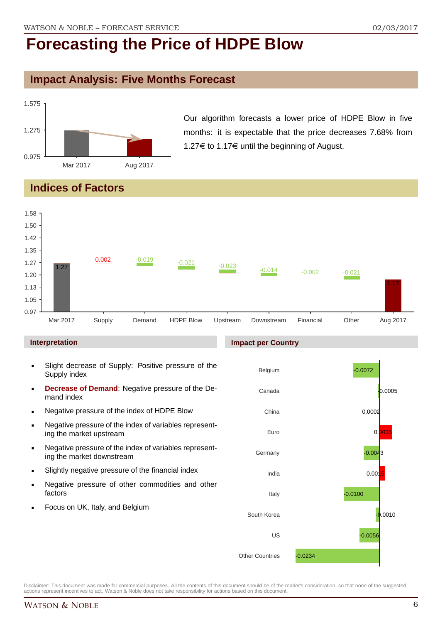## **Impact Analysis: Five Months Forecast**



Our algorithm forecasts a lower price of HDPE Blow in five months: it is expectable that the price decreases 7.68% from 1.27 $\in$  to 1.17 $\in$  until the beginning of August.

## **Indices of Factors**



#### **Interpretation**

- Slight decrease of Supply: Positive pressure of the Supply index
- **Decrease of Demand**: Negative pressure of the Demand index
- Negative pressure of the index of HDPE Blow
- Negative pressure of the index of variables representing the market upstream
- Negative pressure of the index of variables representing the market downstream
- Slightly negative pressure of the financial index
- **Negative pressure of other commodities and other** factors
- **Focus on UK, Italy, and Belgium**

#### **Impact per Country**

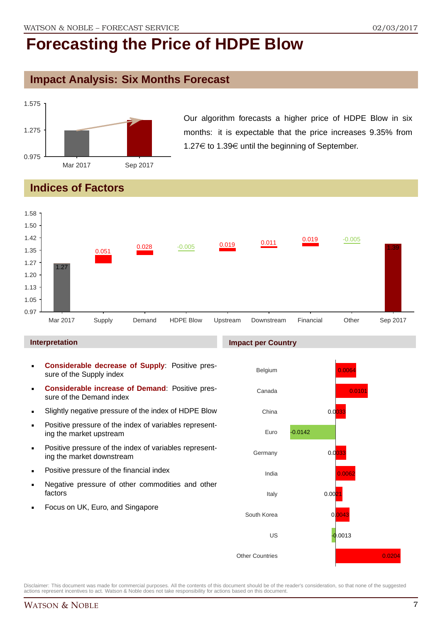## **Impact Analysis: Six Months Forecast**



Our algorithm forecasts a higher price of HDPE Blow in six months: it is expectable that the price increases 9.35% from 1.27 $\in$  to 1.39 $\in$  until the beginning of September.

## **Indices of Factors**



#### **Interpretation**

- **Considerable decrease of Supply**: Positive pressure of the Supply index
- **Considerable increase of Demand**: Positive pressure of the Demand index
- Slightly negative pressure of the index of HDPE Blow
- **Positive pressure of the index of variables represent**ing the market upstream
- **Positive pressure of the index of variables represent**ing the market downstream
- **•** Positive pressure of the financial index
- **Negative pressure of other commodities and other** factors
- Focus on UK, Euro, and Singapore

#### **Impact per Country**

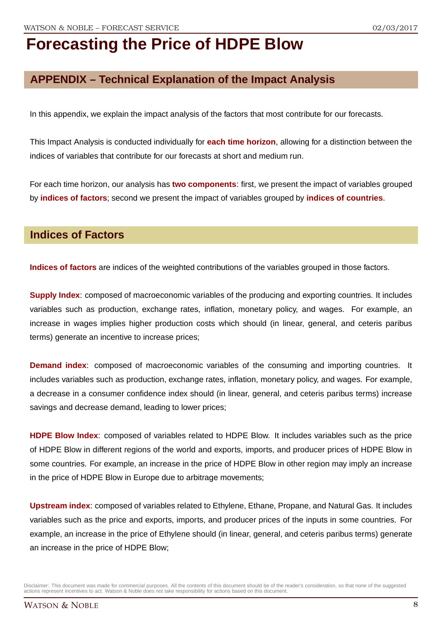## **APPENDIX – Technical Explanation of the Impact Analysis**

In this appendix, we explain the impact analysis of the factors that most contribute for our forecasts.

This Impact Analysis is conducted individually for **each time horizon**, allowing for a distinction between the indices of variables that contribute for our forecasts at short and medium run.

For each time horizon, our analysis has **two components**: first, we present the impact of variables grouped by **indices of factors**; second we present the impact of variables grouped by **indices of countries**.

### **Indices of Factors**

**Indices of factors** are indices of the weighted contributions of the variables grouped in those factors.

**Supply Index**: composed of macroeconomic variables of the producing and exporting countries. It includes variables such as production, exchange rates, inflation, monetary policy, and wages. For example, an increase in wages implies higher production costs which should (in linear, general, and ceteris paribus terms) generate an incentive to increase prices;

**Demand index**: composed of macroeconomic variables of the consuming and importing countries. It includes variables such as production, exchange rates, inflation, monetary policy, and wages. For example, a decrease in a consumer confidence index should (in linear, general, and ceteris paribus terms) increase savings and decrease demand, leading to lower prices;

**HDPE Blow Index**: composed of variables related to HDPE Blow. It includes variables such as the price of HDPE Blow in different regions of the world and exports, imports, and producer prices of HDPE Blow in some countries. For example, an increase in the price of HDPE Blow in other region may imply an increase in the price of HDPE Blow in Europe due to arbitrage movements;

**Upstream index**: composed of variables related to Ethylene, Ethane, Propane, and Natural Gas. It includes variables such as the price and exports, imports, and producer prices of the inputs in some countries. For example, an increase in the price of Ethylene should (in linear, general, and ceteris paribus terms) generate an increase in the price of HDPE Blow;